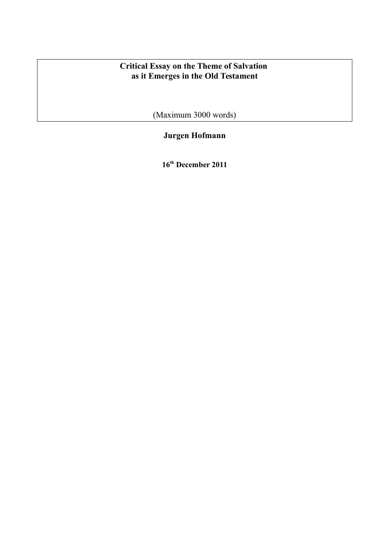# **Critical Essay on the Theme of Salvation as it Emerges in the Old Testament**

(Maximum 3000 words)

# **Jurgen Hofmann**

**16th December 2011**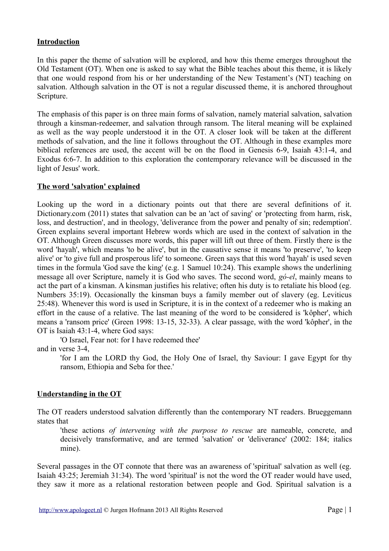### **Introduction**

In this paper the theme of salvation will be explored, and how this theme emerges throughout the Old Testament (OT). When one is asked to say what the Bible teaches about this theme, it is likely that one would respond from his or her understanding of the New Testament's (NT) teaching on salvation. Although salvation in the OT is not a regular discussed theme, it is anchored throughout Scripture.

The emphasis of this paper is on three main forms of salvation, namely material salvation, salvation through a kinsman-redeemer, and salvation through ransom. The literal meaning will be explained as well as the way people understood it in the OT. A closer look will be taken at the different methods of salvation, and the line it follows throughout the OT. Although in these examples more biblical references are used, the accent will be on the flood in Genesis 6-9, Isaiah 43:1-4, and Exodus 6:6-7. In addition to this exploration the contemporary relevance will be discussed in the light of Jesus' work.

#### **The word 'salvation' explained**

Looking up the word in a dictionary points out that there are several definitions of it. Dictionary.com (2011) states that salvation can be an 'act of saving' or 'protecting from harm, risk, loss, and destruction', and in theology, 'deliverance from the power and penalty of sin; redemption'. Green explains several important Hebrew words which are used in the context of salvation in the OT. Although Green discusses more words, this paper will lift out three of them. Firstly there is the word 'hayah', which means 'to be alive', but in the causative sense it means 'to preserve', 'to keep alive' or 'to give full and prosperous life' to someone. Green says that this word 'hayah' is used seven times in the formula 'God save the king' (e.g. 1 Samuel 10:24). This example shows the underlining message all over Scripture, namely it is God who saves. The second word, *gó-el*, mainly means to act the part of a kinsman. A kinsman justifies his relative; often his duty is to retaliate his blood (eg. Numbers 35:19). Occasionally the kinsman buys a family member out of slavery (eg. Leviticus 25:48). Whenever this word is used in Scripture, it is in the context of a redeemer who is making an effort in the cause of a relative. The last meaning of the word to be considered is 'kôpher', which means a 'ransom price' (Green 1998: 13-15, 32-33). A clear passage, with the word 'kôpher', in the OT is Isaiah 43:1-4, where God says:

'O Israel, Fear not: for I have redeemed thee'

and in verse 3-4,

'for I am the LORD thy God, the Holy One of Israel, thy Saviour: I gave Egypt for thy ransom, Ethiopia and Seba for thee.'

## **Understanding in the OT**

The OT readers understood salvation differently than the contemporary NT readers. Brueggemann states that

'these actions *of intervening with the purpose to rescue* are nameable, concrete, and decisively transformative, and are termed 'salvation' or 'deliverance' (2002: 184; italics mine).

Several passages in the OT connote that there was an awareness of 'spiritual' salvation as well (eg. Isaiah 43:25; Jeremiah 31:34). The word 'spiritual' is not the word the OT reader would have used, they saw it more as a relational restoration between people and God. Spiritual salvation is a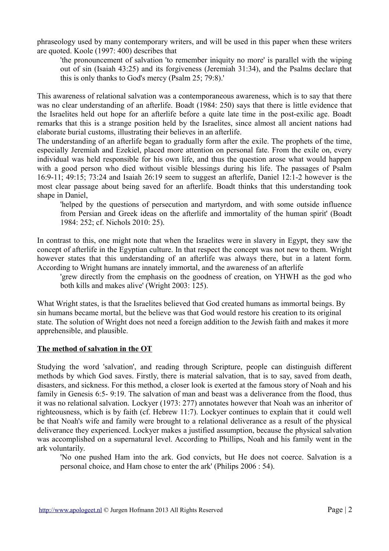phraseology used by many contemporary writers, and will be used in this paper when these writers are quoted. Koole (1997: 400) describes that

'the pronouncement of salvation 'to remember iniquity no more' is parallel with the wiping out of sin (Isaiah 43:25) and its forgiveness (Jeremiah 31:34), and the Psalms declare that this is only thanks to God's mercy (Psalm 25; 79:8).'

This awareness of relational salvation was a contemporaneous awareness, which is to say that there was no clear understanding of an afterlife. Boadt (1984: 250) says that there is little evidence that the Israelites held out hope for an afterlife before a quite late time in the post-exilic age. Boadt remarks that this is a strange position held by the Israelites, since almost all ancient nations had elaborate burial customs, illustrating their believes in an afterlife.

The understanding of an afterlife began to gradually form after the exile. The prophets of the time, especially Jeremiah and Ezekiel, placed more attention on personal fate. From the exile on, every individual was held responsible for his own life, and thus the question arose what would happen with a good person who died without visible blessings during his life. The passages of Psalm 16:9-11; 49:15; 73:24 and Isaiah 26:19 seem to suggest an afterlife, Daniel 12:1-2 however is the most clear passage about being saved for an afterlife. Boadt thinks that this understanding took shape in Daniel,

'helped by the questions of persecution and martyrdom, and with some outside influence from Persian and Greek ideas on the afterlife and immortality of the human spirit' (Boadt 1984: 252; cf. Nichols 2010: 25).

In contrast to this, one might note that when the Israelites were in slavery in Egypt, they saw the concept of afterlife in the Egyptian culture. In that respect the concept was not new to them. Wright however states that this understanding of an afterlife was always there, but in a latent form. According to Wright humans are innately immortal, and the awareness of an afterlife

'grew directly from the emphasis on the goodness of creation, on YHWH as the god who both kills and makes alive' (Wright 2003: 125).

What Wright states, is that the Israelites believed that God created humans as immortal beings. By sin humans became mortal, but the believe was that God would restore his creation to its original state. The solution of Wright does not need a foreign addition to the Jewish faith and makes it more apprehensible, and plausible.

## **The method of salvation in the OT**

Studying the word 'salvation', and reading through Scripture, people can distinguish different methods by which God saves. Firstly, there is material salvation, that is to say, saved from death, disasters, and sickness. For this method, a closer look is exerted at the famous story of Noah and his family in Genesis 6:5- 9:19. The salvation of man and beast was a deliverance from the flood, thus it was no relational salvation. Lockyer (1973: 277) annotates however that Noah was an inheritor of righteousness, which is by faith (cf. Hebrew 11:7). Lockyer continues to explain that it could well be that Noah's wife and family were brought to a relational deliverance as a result of the physical deliverance they experienced. Lockyer makes a justified assumption, because the physical salvation was accomplished on a supernatural level. According to Phillips, Noah and his family went in the ark voluntarily.

'No one pushed Ham into the ark. God convicts, but He does not coerce. Salvation is a personal choice, and Ham chose to enter the ark' (Philips 2006 : 54).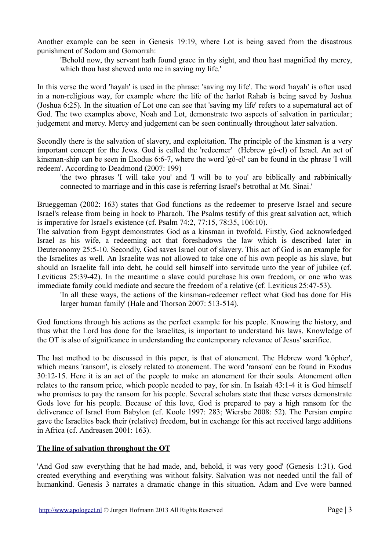Another example can be seen in Genesis 19:19, where Lot is being saved from the disastrous punishment of Sodom and Gomorrah:

'Behold now, thy servant hath found grace in thy sight, and thou hast magnified thy mercy, which thou hast shewed unto me in saving my life.'

In this verse the word 'hayah' is used in the phrase: 'saving my life'. The word 'hayah' is often used in a non-religious way, for example where the life of the harlot Rahab is being saved by Joshua (Joshua 6:25). In the situation of Lot one can see that 'saving my life' refers to a supernatural act of God. The two examples above, Noah and Lot, demonstrate two aspects of salvation in particular; judgement and mercy. Mercy and judgement can be seen continually throughout later salvation.

Secondly there is the salvation of slavery, and exploitation. The principle of the kinsman is a very important concept for the Jews. God is called the 'redeemer' (Hebrew gó-el) of Israel. An act of kinsman-ship can be seen in Exodus 6:6-7, where the word 'gó-el' can be found in the phrase 'I will redeem'. According to Deadmond (2007: 199)

'the two phrases 'I will take you' and 'I will be to you' are biblically and rabbinically connected to marriage and in this case is referring Israel's betrothal at Mt. Sinai.'

Brueggeman (2002: 163) states that God functions as the redeemer to preserve Israel and secure Israel's release from being in hock to Pharaoh. The Psalms testify of this great salvation act, which is imperative for Israel's existence (cf. Psalm 74:2, 77:15, 78:35, 106:10).

The salvation from Egypt demonstrates God as a kinsman in twofold. Firstly, God acknowledged Israel as his wife, a redeeming act that foreshadows the law which is described later in Deuteronomy 25:5-10. Secondly, God saves Israel out of slavery. This act of God is an example for the Israelites as well. An Israelite was not allowed to take one of his own people as his slave, but should an Israelite fall into debt, he could sell himself into servitude unto the year of jubilee (cf. Leviticus 25:39-42). In the meantime a slave could purchase his own freedom, or one who was immediate family could mediate and secure the freedom of a relative (cf. Leviticus 25:47-53).

'In all these ways, the actions of the kinsman-redeemer reflect what God has done for His larger human family' (Hale and Thorson 2007: 513-514).

God functions through his actions as the perfect example for his people. Knowing the history, and thus what the Lord has done for the Israelites, is important to understand his laws. Knowledge of the OT is also of significance in understanding the contemporary relevance of Jesus' sacrifice.

The last method to be discussed in this paper, is that of atonement. The Hebrew word 'kôpher', which means 'ransom', is closely related to atonement. The word 'ransom' can be found in Exodus 30:12-15. Here it is an act of the people to make an atonement for their souls. Atonement often relates to the ransom price, which people needed to pay, for sin. In Isaiah 43:1-4 it is God himself who promises to pay the ransom for his people. Several scholars state that these verses demonstrate Gods love for his people. Because of this love, God is prepared to pay a high ransom for the deliverance of Israel from Babylon (cf. Koole 1997: 283; Wiersbe 2008: 52). The Persian empire gave the Israelites back their (relative) freedom, but in exchange for this act received large additions in Africa (cf. Andreasen 2001: 163).

#### **The line of salvation throughout the OT**

'And God saw everything that he had made, and, behold, it was very good' (Genesis 1:31). God created everything and everything was without falsity. Salvation was not needed until the fall of humankind. Genesis 3 narrates a dramatic change in this situation. Adam and Eve were banned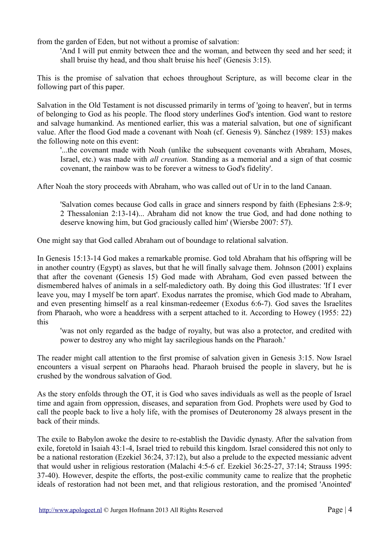from the garden of Eden, but not without a promise of salvation:

'And I will put enmity between thee and the woman, and between thy seed and her seed; it shall bruise thy head, and thou shalt bruise his heel' (Genesis 3:15).

This is the promise of salvation that echoes throughout Scripture, as will become clear in the following part of this paper.

Salvation in the Old Testament is not discussed primarily in terms of 'going to heaven', but in terms of belonging to God as his people. The flood story underlines God's intention. God want to restore and salvage humankind. As mentioned earlier, this was a material salvation, but one of significant value. After the flood God made a covenant with Noah (cf. Genesis 9). Sánchez (1989: 153) makes the following note on this event:

'...the covenant made with Noah (unlike the subsequent covenants with Abraham, Moses, Israel, etc.) was made with *all creation.* Standing as a memorial and a sign of that cosmic covenant, the rainbow was to be forever a witness to God's fidelity'.

After Noah the story proceeds with Abraham, who was called out of Ur in to the land Canaan.

'Salvation comes because God calls in grace and sinners respond by faith (Ephesians 2:8-9; 2 Thessalonian 2:13-14)... Abraham did not know the true God, and had done nothing to deserve knowing him, but God graciously called him' (Wiersbe 2007: 57).

One might say that God called Abraham out of boundage to relational salvation.

In Genesis 15:13-14 God makes a remarkable promise. God told Abraham that his offspring will be in another country (Egypt) as slaves, but that he will finally salvage them. Johnson (2001) explains that after the covenant (Genesis 15) God made with Abraham, God even passed between the dismembered halves of animals in a self-maledictory oath. By doing this God illustrates: 'If I ever leave you, may I myself be torn apart'. Exodus narrates the promise, which God made to Abraham, and even presenting himself as a real kinsman-redeemer (Exodus 6:6-7). God saves the Israelites from Pharaoh, who wore a headdress with a serpent attached to it. According to Howey (1955: 22) this

'was not only regarded as the badge of royalty, but was also a protector, and credited with power to destroy any who might lay sacrilegious hands on the Pharaoh.'

The reader might call attention to the first promise of salvation given in Genesis 3:15. Now Israel encounters a visual serpent on Pharaohs head. Pharaoh bruised the people in slavery, but he is crushed by the wondrous salvation of God.

As the story enfolds through the OT, it is God who saves individuals as well as the people of Israel time and again from oppression, diseases, and separation from God. Prophets were used by God to call the people back to live a holy life, with the promises of Deuteronomy 28 always present in the back of their minds.

The exile to Babylon awoke the desire to re-establish the Davidic dynasty. After the salvation from exile, foretold in Isaiah 43:1-4, Israel tried to rebuild this kingdom. Israel considered this not only to be a national restoration (Ezekiel 36:24, 37:12), but also a prelude to the expected messianic advent that would usher in religious restoration (Malachi 4:5-6 cf. Ezekiel 36:25-27, 37:14; Strauss 1995: 37-40). However, despite the efforts, the post-exilic community came to realize that the prophetic ideals of restoration had not been met, and that religious restoration, and the promised 'Anointed'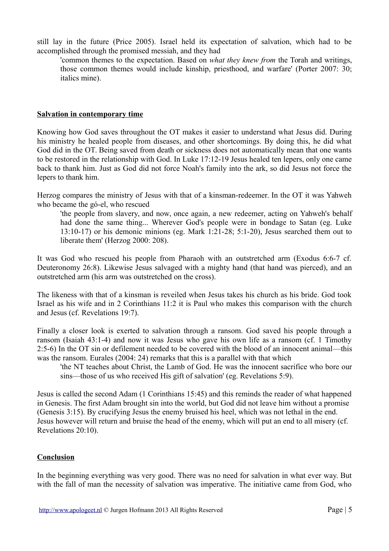still lay in the future (Price 2005). Israel held its expectation of salvation, which had to be accomplished through the promised messiah, and they had

'common themes to the expectation. Based on *what they knew from* the Torah and writings, those common themes would include kinship, priesthood, and warfare' (Porter 2007: 30; italics mine).

#### **Salvation in contemporary time**

Knowing how God saves throughout the OT makes it easier to understand what Jesus did. During his ministry he healed people from diseases, and other shortcomings. By doing this, he did what God did in the OT. Being saved from death or sickness does not automatically mean that one wants to be restored in the relationship with God. In Luke 17:12-19 Jesus healed ten lepers, only one came back to thank him. Just as God did not force Noah's family into the ark, so did Jesus not force the lepers to thank him.

Herzog compares the ministry of Jesus with that of a kinsman-redeemer. In the OT it was Yahweh who became the gó-el, who rescued

'the people from slavery, and now, once again, a new redeemer, acting on Yahweh's behalf had done the same thing... Wherever God's people were in bondage to Satan (eg. Luke 13:10-17) or his demonic minions (eg. Mark 1:21-28; 5:1-20), Jesus searched them out to liberate them' (Herzog 2000: 208).

It was God who rescued his people from Pharaoh with an outstretched arm (Exodus 6:6-7 cf. Deuteronomy 26:8). Likewise Jesus salvaged with a mighty hand (that hand was pierced), and an outstretched arm (his arm was outstretched on the cross).

The likeness with that of a kinsman is reveiled when Jesus takes his church as his bride. God took Israel as his wife and in 2 Corinthians 11:2 it is Paul who makes this comparison with the church and Jesus (cf. Revelations 19:7).

Finally a closer look is exerted to salvation through a ransom. God saved his people through a ransom (Isaiah 43:1-4) and now it was Jesus who gave his own life as a ransom (cf. 1 Timothy 2:5-6) In the OT sin or defilement needed to be covered with the blood of an innocent animal—this was the ransom. Eurales (2004: 24) remarks that this is a parallel with that which

'the NT teaches about Christ, the Lamb of God. He was the innocent sacrifice who bore our sins—those of us who received His gift of salvation' (eg. Revelations 5:9).

Jesus is called the second Adam (1 Corinthians 15:45) and this reminds the reader of what happened in Genesis. The first Adam brought sin into the world, but God did not leave him without a promise (Genesis 3:15). By crucifying Jesus the enemy bruised his heel, which was not lethal in the end. Jesus however will return and bruise the head of the enemy, which will put an end to all misery (cf. Revelations 20:10).

#### **Conclusion**

In the beginning everything was very good. There was no need for salvation in what ever way. But with the fall of man the necessity of salvation was imperative. The initiative came from God, who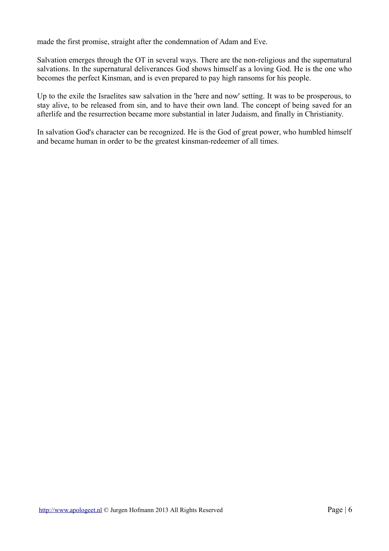made the first promise, straight after the condemnation of Adam and Eve.

Salvation emerges through the OT in several ways. There are the non-religious and the supernatural salvations. In the supernatural deliverances God shows himself as a loving God. He is the one who becomes the perfect Kinsman, and is even prepared to pay high ransoms for his people.

Up to the exile the Israelites saw salvation in the 'here and now' setting. It was to be prosperous, to stay alive, to be released from sin, and to have their own land. The concept of being saved for an afterlife and the resurrection became more substantial in later Judaism, and finally in Christianity.

In salvation God's character can be recognized. He is the God of great power, who humbled himself and became human in order to be the greatest kinsman-redeemer of all times.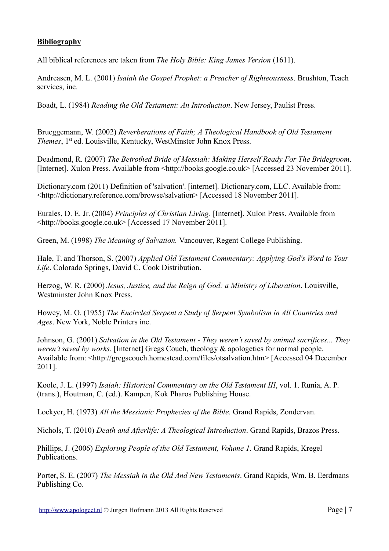## **Bibliography**

All biblical references are taken from *The Holy Bible: King James Version* (1611).

Andreasen, M. L. (2001) *Isaiah the Gospel Prophet: a Preacher of Righteousness*. Brushton, Teach services, inc.

Boadt, L. (1984) *Reading the Old Testament: An Introduction*. New Jersey, Paulist Press.

Brueggemann, W. (2002) *Reverberations of Faith; A Theological Handbook of Old Testament Themes*, 1<sup>st</sup> ed. Louisville, Kentucky, WestMinster John Knox Press.

Deadmond, R. (2007) *The Betrothed Bride of Messiah: Making Herself Ready For The Bridegroom*. [Internet]. Xulon Press. Available from <http://books.google.co.uk> [Accessed 23 November 2011].

Dictionary.com (2011) Definition of 'salvation'. [internet]. Dictionary.com, LLC. Available from: <http://dictionary.reference.com/browse/salvation> [Accessed 18 November 2011].

Eurales, D. E. Jr. (2004) *Principles of Christian Living*. [Internet]. Xulon Press. Available from <http://books.google.co.uk> [Accessed 17 November 2011].

Green, M. (1998) *The Meaning of Salvation.* Vancouver, Regent College Publishing.

Hale, T. and Thorson, S. (2007) *Applied Old Testament Commentary: Applying God's Word to Your Life*. Colorado Springs, David C. Cook Distribution.

Herzog, W. R. (2000) *Jesus, Justice, and the Reign of God: a Ministry of Liberation*. Louisville, Westminster John Knox Press.

Howey, M. O. (1955) *The Encircled Serpent a Study of Serpent Symbolism in All Countries and Ages*. New York, Noble Printers inc.

Johnson, G. (2001) *Salvation in the Old Testament - They weren't saved by animal sacrifices... They weren't saved by works.* [Internet] Gregs Couch, theology & apologetics for normal people. Available from: <http://gregscouch.homestead.com/files/otsalvation.htm> [Accessed 04 December 2011].

Koole, J. L. (1997) *Isaiah: Historical Commentary on the Old Testament III*, vol. 1. Runia, A. P. (trans.), Houtman, C. (ed.). Kampen, Kok Pharos Publishing House.

Lockyer, H. (1973) *All the Messianic Prophecies of the Bible.* Grand Rapids, Zondervan.

Nichols, T. (2010) *Death and Afterlife: A Theological Introduction*. Grand Rapids, Brazos Press.

Phillips, J. (2006) *Exploring People of the Old Testament, Volume 1.* Grand Rapids, Kregel Publications.

Porter, S. E. (2007) *The Messiah in the Old And New Testaments*. Grand Rapids, Wm. B. Eerdmans Publishing Co.